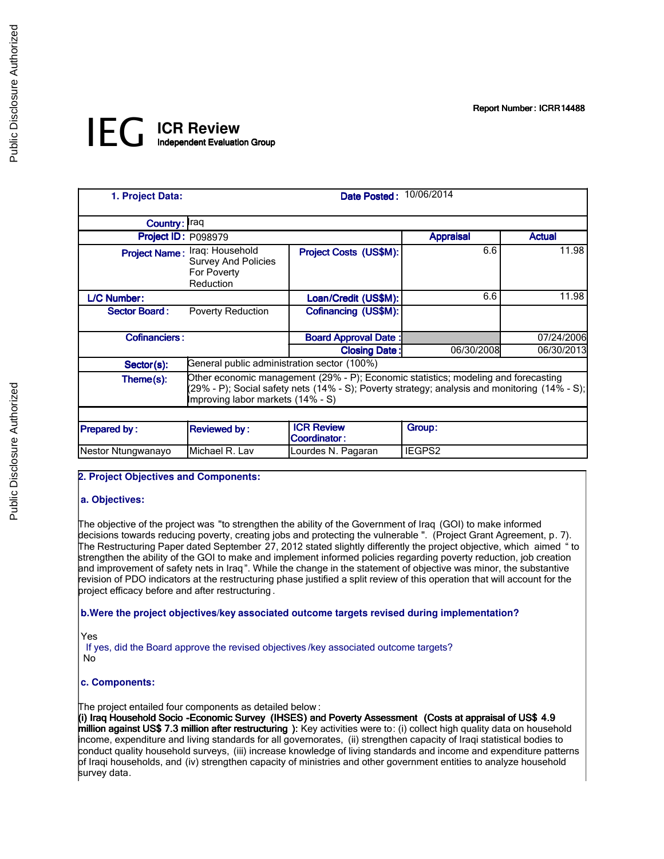Report Number: ICRR14488

# *IEG* **ICR Review** Independent Evaluation Group

| 1. Project Data:     |                                                                                                                                                                                                                          | Date Posted: 10/06/2014                  |                  |               |
|----------------------|--------------------------------------------------------------------------------------------------------------------------------------------------------------------------------------------------------------------------|------------------------------------------|------------------|---------------|
| Country: Iraq        |                                                                                                                                                                                                                          |                                          |                  |               |
| Project ID: P098979  |                                                                                                                                                                                                                          |                                          | <b>Appraisal</b> | <b>Actual</b> |
|                      | Project Name: Iraq: Household<br><b>Survey And Policies</b><br>For Poverty<br>Reduction                                                                                                                                  | Project Costs (US\$M):                   | 6.6              | 11.98         |
| L/C Number:          |                                                                                                                                                                                                                          | Loan/Credit (US\$M):                     | 6.6              | 11.98         |
| <b>Sector Board:</b> | <b>Poverty Reduction</b>                                                                                                                                                                                                 | Cofinancing (US\$M):                     |                  |               |
| <b>Cofinanciers:</b> |                                                                                                                                                                                                                          | <b>Board Approval Date:</b>              |                  | 07/24/2006    |
|                      |                                                                                                                                                                                                                          | <b>Closing Date:</b>                     | 06/30/2008       | 06/30/2013    |
| Sector(s):           | General public administration sector (100%)                                                                                                                                                                              |                                          |                  |               |
| Theme(s):            | Other economic management (29% - P); Economic statistics; modeling and forecasting<br>(29% - P); Social safety nets (14% - S); Poverty strategy; analysis and monitoring (14% - S);<br>Improving labor markets (14% - S) |                                          |                  |               |
|                      |                                                                                                                                                                                                                          |                                          |                  |               |
| <b>Prepared by:</b>  | <b>Reviewed by:</b>                                                                                                                                                                                                      | <b>ICR Review</b><br><b>Coordinator:</b> | Group:           |               |
| Nestor Ntungwanayo   | Michael R. Lav                                                                                                                                                                                                           | Lourdes N. Pagaran                       | IEGPS2           |               |

# **2. Project Objectives and Components:**

# **a. Objectives:**

I The objective of the project was "to strengthen the ability of the Government of Iraq (GOI) to make informed decisions towards reducing poverty, creating jobs and protecting the vulnerable ". (Project Grant Agreement, p. 7). The Restructuring Paper dated September 27, 2012 stated slightly differently the project objective, which aimed " to strengthen the ability of the GOI to make and implement informed policies regarding poverty reduction, job creation and improvement of safety nets in Iraq". While the change in the statement of objective was minor, the substantive revision of PDO indicators at the restructuring phase justified a split review of this operation that will account for the project efficacy before and after restructuring .

# **b.Were the project objectives/key associated outcome targets revised during implementation?**

Yes

If yes, did the Board approve the revised objectives /key associated outcome targets? No

# **c. Components:**

I The project entailed four components as detailed below :

(i) Iraq Household Socio -Economic Survey (IHSES) and Poverty Assessment (Costs at appraisal of US\$ 4.9 million against US\$ 7.3 million after restructuring ): Key activities were to: (i) collect high quality data on household income, expenditure and living standards for all governorates, (ii) strengthen capacity of Iraqi statistical bodies to conduct quality household surveys, (iii) increase knowledge of living standards and income and expenditure patterns of Iraqi households, and (iv) strengthen capacity of ministries and other government entities to analyze household survey data.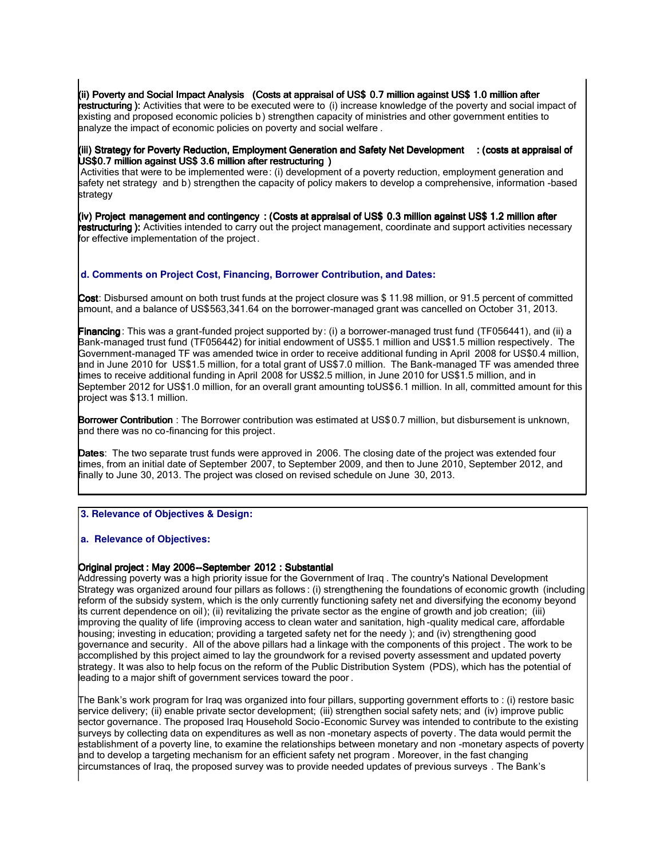(ii) Poverty and Social Impact Analysis (Costs at appraisal of US\$ 0.7 million against US\$ 1.0 million after restructuring ): Activities that were to be executed were to (i) increase knowledge of the poverty and social impact of existing and proposed economic policies b ) strengthen capacity of ministries and other government entities to analyze the impact of economic policies on poverty and social welfare .

(iii) Strategy for Poverty Reduction, Employment Generation and Safety Net Development : (costs at appraisal of US\$0.7 million against US\$ 3.6 million after restructuring )

 Activities that were to be implemented were: (i) development of a poverty reduction, employment generation and safety net strategy and b) strengthen the capacity of policy makers to develop a comprehensive, information -based strategy

(iv) Project management and contingency : (Costs at appraisal of US\$ 0.3 million against US\$ 1.2 million after restructuring ): Activities intended to carry out the project management, coordinate and support activities necessary for effective implementation of the project.

## **d. Comments on Project Cost, Financing, Borrower Contribution, and Dates:**

I Cost: Disbursed amount on both trust funds at the project closure was \$11.98 million, or 91.5 percent of committed amount, and a balance of US\$563,341.64 on the borrower-managed grant was cancelled on October 31, 2013.

Financing: This was a grant-funded project supported by: (i) a borrower-managed trust fund (TF056441), and (ii) a Bank-managed trust fund (TF056442) for initial endowment of US\$5.1 million and US\$1.5 million respectively. The Government-managed TF was amended twice in order to receive additional funding in April 2008 for US\$0.4 million, and in June 2010 for US\$1.5 million, for a total grant of US\$7.0 million. The Bank-managed TF was amended three times to receive additional funding in April 2008 for US\$2.5 million, in June 2010 for US\$1.5 million, and in September 2012 for US\$1.0 million, for an overall grant amounting toUS\$6.1 million. In all, committed amount for this project was \$13.1 million.

Borrower Contribution : The Borrower contribution was estimated at US\$ 0.7 million, but disbursement is unknown, and there was no co-financing for this project.

Dates: The two separate trust funds were approved in 2006. The closing date of the project was extended four times, from an initial date of September 2007, to September 2009, and then to June 2010, September 2012, and finally to June 30, 2013. The project was closed on revised schedule on June 30, 2013.

## **3. Relevance of Objectives & Design:**

#### **a. Relevance of Objectives:**

## Original project : May 2006--September 2012 : Substantial

Addressing poverty was a high priority issue for the Government of Iraq . The country's National Development Strategy was organized around four pillars as follows : (i) strengthening the foundations of economic growth (including reform of the subsidy system, which is the only currently functioning safety net and diversifying the economy beyond its current dependence on oil); (ii) revitalizing the private sector as the engine of growth and job creation; (iii) improving the quality of life (improving access to clean water and sanitation, high -quality medical care, affordable housing; investing in education; providing a targeted safety net for the needy ); and (iv) strengthening good governance and security. All of the above pillars had a linkage with the components of this project . The work to be accomplished by this project aimed to lay the groundwork for a revised poverty assessment and updated poverty strategy. It was also to help focus on the reform of the Public Distribution System (PDS), which has the potential of leading to a major shift of government services toward the poor .

The Bank's work program for Iraq was organized into four pillars, supporting government efforts to : (i) restore basic service delivery; (ii) enable private sector development; (iii) strengthen social safety nets; and (iv) improve public sector governance. The proposed Iraq Household Socio-Economic Survey was intended to contribute to the existing surveys by collecting data on expenditures as well as non -monetary aspects of poverty. The data would permit the establishment of a poverty line, to examine the relationships between monetary and non -monetary aspects of poverty and to develop a targeting mechanism for an efficient safety net program . Moreover, in the fast changing circumstances of Iraq, the proposed survey was to provide needed updates of previous surveys . The Bank's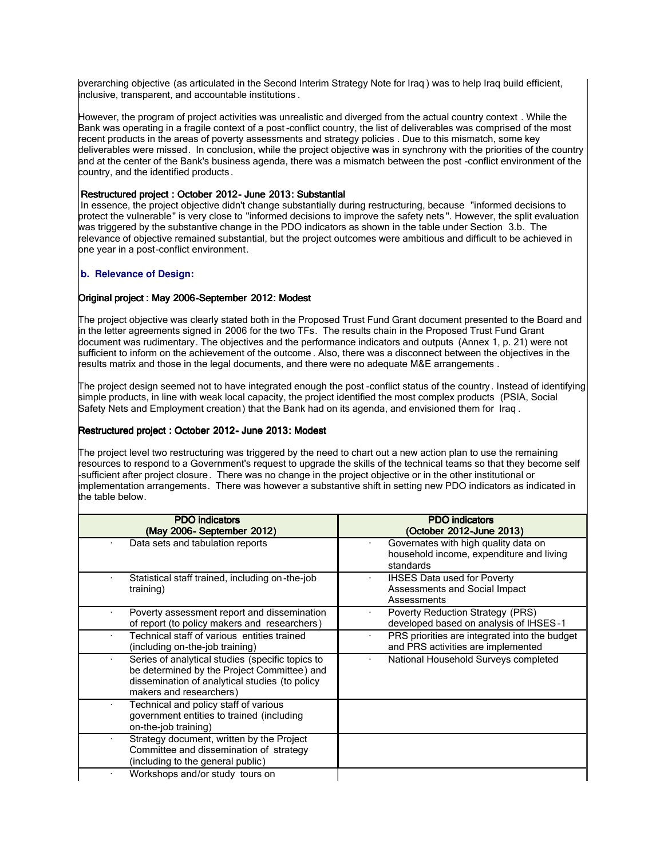bverarching objective (as articulated in the Second Interim Strategy Note for Iraq) was to help Iraq build efficient, inclusive, transparent, and accountable institutions .

However, the program of project activities was unrealistic and diverged from the actual country context . While the Bank was operating in a fragile context of a post -conflict country, the list of deliverables was comprised of the most recent products in the areas of poverty assessments and strategy policies . Due to this mismatch, some key deliverables were missed. In conclusion, while the project objective was in synchrony with the priorities of the country and at the center of the Bank's business agenda, there was a mismatch between the post -conflict environment of the country, and the identified products .

### Restructured project : October 2012- June 2013: Substantial

 In essence, the project objective didn't change substantially during restructuring, because "informed decisions to protect the vulnerable" is very close to "informed decisions to improve the safety nets ". However, the split evaluation was triggered by the substantive change in the PDO indicators as shown in the table under Section 3.b. The relevance of objective remained substantial, but the project outcomes were ambitious and difficult to be achieved in one year in a post-conflict environment.

## **b. Relevance of Design:**

#### Original project : May 2006-September 2012: Modest

The project objective was clearly stated both in the Proposed Trust Fund Grant document presented to the Board and in the letter agreements signed in 2006 for the two TFs. The results chain in the Proposed Trust Fund Grant document was rudimentary. The objectives and the performance indicators and outputs (Annex 1, p. 21) were not sufficient to inform on the achievement of the outcome . Also, there was a disconnect between the objectives in the results matrix and those in the legal documents, and there were no adequate M&E arrangements .

The project design seemed not to have integrated enough the post -conflict status of the country. Instead of identifying simple products, in line with weak local capacity, the project identified the most complex products (PSIA, Social Safety Nets and Employment creation) that the Bank had on its agenda, and envisioned them for Iraq .

## Restructured project : October 2012- June 2013: Modest

The project level two restructuring was triggered by the need to chart out a new action plan to use the remaining resources to respond to a Government's request to upgrade the skills of the technical teams so that they become self -sufficient after project closure. There was no change in the project objective or in the other institutional or implementation arrangements. There was however a substantive shift in setting new PDO indicators as indicated in the table below.

| <b>PDO</b> indicators<br>(May 2006- September 2012)                                                                                                                          | <b>PDO</b> indicators<br>(October 2012-June 2013)                                             |
|------------------------------------------------------------------------------------------------------------------------------------------------------------------------------|-----------------------------------------------------------------------------------------------|
| Data sets and tabulation reports                                                                                                                                             | Governates with high quality data on<br>household income, expenditure and living<br>standards |
| Statistical staff trained, including on-the-job<br>training)                                                                                                                 | <b>IHSES Data used for Poverty</b><br>Assessments and Social Impact<br>Assessments            |
| Poverty assessment report and dissemination<br>of report (to policy makers and researchers)                                                                                  | Poverty Reduction Strategy (PRS)<br>developed based on analysis of IHSES-1                    |
| Technical staff of various entities trained<br>(including on-the-job training)                                                                                               | PRS priorities are integrated into the budget<br>and PRS activities are implemented           |
| Series of analytical studies (specific topics to<br>be determined by the Project Committee) and<br>dissemination of analytical studies (to policy<br>makers and researchers) | National Household Surveys completed                                                          |
| Technical and policy staff of various<br>government entities to trained (including<br>on-the-job training)                                                                   |                                                                                               |
| Strategy document, written by the Project<br>Committee and dissemination of strategy<br>(including to the general public)                                                    |                                                                                               |
| Workshops and/or study tours on                                                                                                                                              |                                                                                               |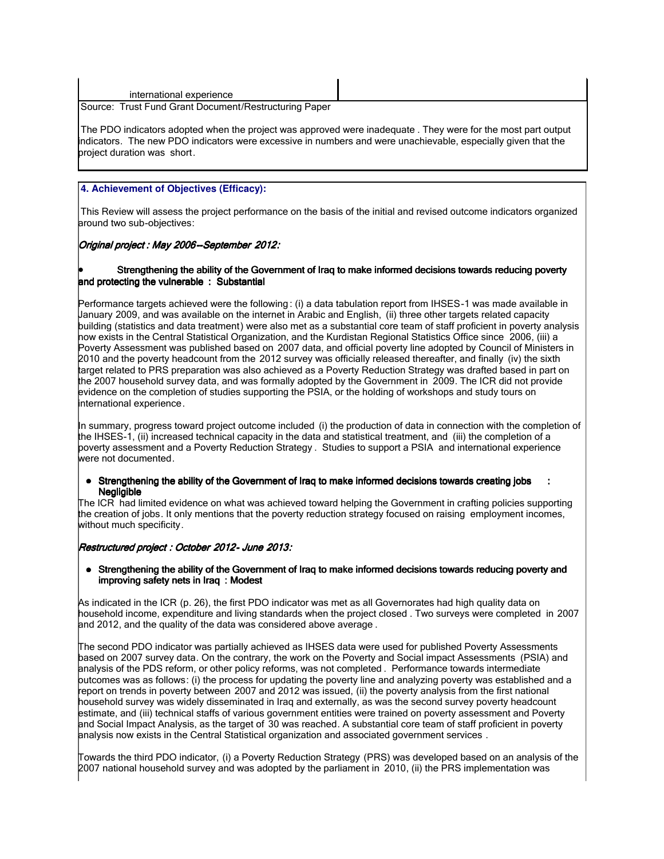| international experience                              |  |
|-------------------------------------------------------|--|
| Source: Trust Fund Grant Document/Restructuring Paper |  |

The PDO indicators adopted when the project was approved were inadequate . They were for the most part output indicators. The new PDO indicators were excessive in numbers and were unachievable, especially given that the project duration was short.

# **4. Achievement of Objectives (Efficacy):**

I This Review will assess the project performance on the basis of the initial and revised outcome indicators organized around two sub-objectives:

# Original project : May 2006--September 2012:

#### Strengthening the ability of the Government of Iraq to make informed decisions towards reducing poverty and protecting the vulnerable : Substantial

Performance targets achieved were the following : (i) a data tabulation report from IHSES-1 was made available in January 2009, and was available on the internet in Arabic and English, (ii) three other targets related capacity building (statistics and data treatment) were also met as a substantial core team of staff proficient in poverty analysis now exists in the Central Statistical Organization, and the Kurdistan Regional Statistics Office since 2006, (iii) a Poverty Assessment was published based on 2007 data, and official poverty line adopted by Council of Ministers in 2010 and the poverty headcount from the 2012 survey was officially released thereafter, and finally (iv) the sixth target related to PRS preparation was also achieved as a Poverty Reduction Strategy was drafted based in part on the 2007 household survey data, and was formally adopted by the Government in 2009. The ICR did not provide evidence on the completion of studies supporting the PSIA, or the holding of workshops and study tours on international experience.

In summary, progress toward project outcome included (i) the production of data in connection with the completion of the IHSES-1, (ii) increased technical capacity in the data and statistical treatment, and (iii) the completion of a poverty assessment and a Poverty Reduction Strategy . Studies to support a PSIA and international experience were not documented.

#### Strengthening the ability of the Government of Iraq to make informed decisions towards creating jobs **Negligible**

The ICR had limited evidence on what was achieved toward helping the Government in crafting policies supporting the creation of jobs. It only mentions that the poverty reduction strategy focused on raising employment incomes, without much specificity.

#### Restructured project : October 2012- June 2013:

#### • Strengthening the ability of the Government of Iraq to make informed decisions towards reducing poverty and improving safety nets in Iraq : Modest

As indicated in the ICR (p. 26), the first PDO indicator was met as all Governorates had high quality data on household income, expenditure and living standards when the project closed . Two surveys were completed in 2007 and 2012, and the quality of the data was considered above average .

The second PDO indicator was partially achieved as IHSES data were used for published Poverty Assessments based on 2007 survey data. On the contrary, the work on the Poverty and Social impact Assessments (PSIA) and analysis of the PDS reform, or other policy reforms, was not completed . Performance towards intermediate outcomes was as follows: (i) the process for updating the poverty line and analyzing poverty was established and a report on trends in poverty between 2007 and 2012 was issued, (ii) the poverty analysis from the first national household survey was widely disseminated in Iraq and externally, as was the second survey poverty headcount estimate, and (iii) technical staffs of various government entities were trained on poverty assessment and Poverty and Social Impact Analysis, as the target of 30 was reached. A substantial core team of staff proficient in poverty analysis now exists in the Central Statistical organization and associated government services .

Towards the third PDO indicator, (i) a Poverty Reduction Strategy (PRS) was developed based on an analysis of the 2007 national household survey and was adopted by the parliament in 2010, (ii) the PRS implementation was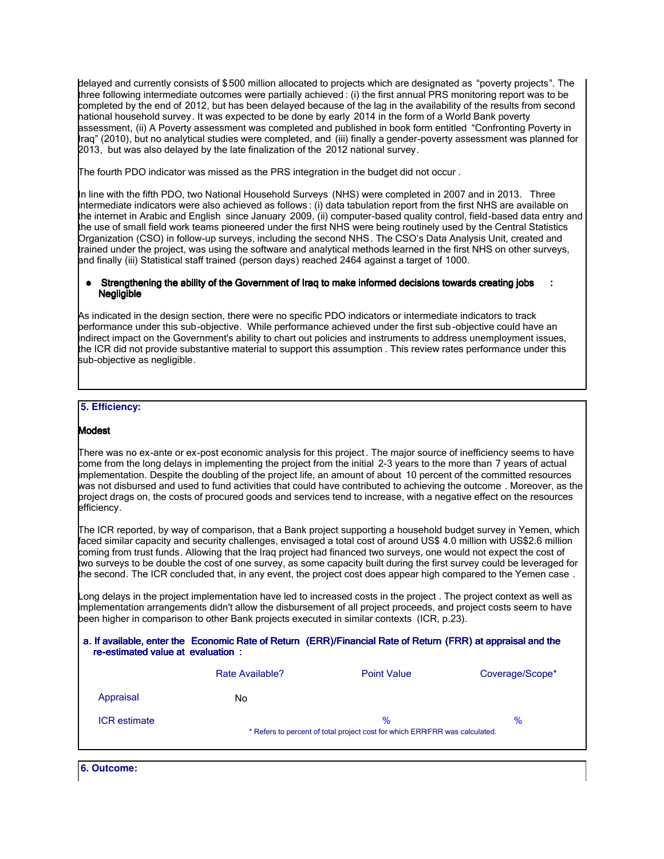delayed and currently consists of \$ 500 million allocated to projects which are designated as "poverty projects". The three following intermediate outcomes were partially achieved : (i) the first annual PRS monitoring report was to be completed by the end of 2012, but has been delayed because of the lag in the availability of the results from second national household survey. It was expected to be done by early 2014 in the form of a World Bank poverty assessment, (ii) A Poverty assessment was completed and published in book form entitled "Confronting Poverty in Iraq" (2010), but no analytical studies were completed, and (iii) finally a gender-poverty assessment was planned for 2013, but was also delayed by the late finalization of the 2012 national survey.

The fourth PDO indicator was missed as the PRS integration in the budget did not occur .

In line with the fifth PDO, two National Household Surveys (NHS) were completed in 2007 and in 2013. Three intermediate indicators were also achieved as follows : (i) data tabulation report from the first NHS are available on the internet in Arabic and English since January 2009, (ii) computer-based quality control, field-based data entry and the use of small field work teams pioneered under the first NHS were being routinely used by the Central Statistics Organization (CSO) in follow-up surveys, including the second NHS . The CSO's Data Analysis Unit, created and trained under the project, was using the software and analytical methods learned in the first NHS on other surveys, and finally (iii) Statistical staff trained (person days) reached 2464 against a target of 1000.

#### Strengthening the ability of the Government of Iraq to make informed decisions towards creating jobs : **Negligible**

As indicated in the design section, there were no specific PDO indicators or intermediate indicators to track performance under this sub-objective. While performance achieved under the first sub -objective could have an indirect impact on the Government's ability to chart out policies and instruments to address unemployment issues, the ICR did not provide substantive material to support this assumption . This review rates performance under this sub-objective as negligible.

## **5. Efficiency:**

#### I Modest

I

There was no ex-ante or ex-post economic analysis for this project . The major source of inefficiency seems to have come from the long delays in implementing the project from the initial 2-3 years to the more than 7 years of actual implementation. Despite the doubling of the project life, an amount of about 10 percent of the committed resources was not disbursed and used to fund activities that could have contributed to achieving the outcome . Moreover, as the project drags on, the costs of procured goods and services tend to increase, with a negative effect on the resources efficiency.

The ICR reported, by way of comparison, that a Bank project supporting a household budget survey in Yemen, which faced similar capacity and security challenges, envisaged a total cost of around US\$ 4.0 million with US\$2.6 million coming from trust funds. Allowing that the Iraq project had financed two surveys, one would not expect the cost of two surveys to be double the cost of one survey, as some capacity built during the first survey could be leveraged for the second. The ICR concluded that, in any event, the project cost does appear high compared to the Yemen case.

Long delays in the project implementation have led to increased costs in the project . The project context as well as implementation arrangements didn't allow the disbursement of all project proceeds, and project costs seem to have been higher in comparison to other Bank projects executed in similar contexts (ICR, p.23).

|                                   | a. If available, enter the Economic Rate of Return (ERR)/Financial Rate of Return (FRR) at appraisal and the |  |
|-----------------------------------|--------------------------------------------------------------------------------------------------------------|--|
| re-estimated value at evaluation: |                                                                                                              |  |

|                     | Rate Available?                                                             | <b>Point Value</b> | Coverage/Scope* |
|---------------------|-----------------------------------------------------------------------------|--------------------|-----------------|
| Appraisal           | No                                                                          |                    |                 |
| <b>ICR</b> estimate |                                                                             | $\%$               | $\%$            |
|                     | * Refers to percent of total project cost for which ERR/FRR was calculated. |                    |                 |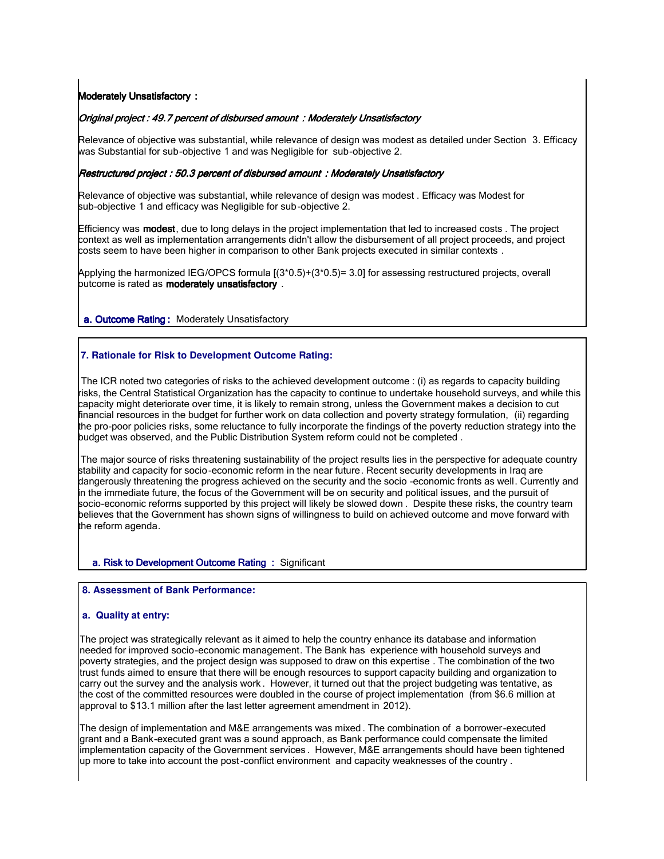#### I **Moderately Unsatisfactory:**

## Original project : 49.7 percent of disbursed amount : Moderately Unsatisfactory

Relevance of objective was substantial, while relevance of design was modest as detailed under Section 3. Efficacy was Substantial for sub-objective 1 and was Negligible for sub-objective 2.

#### Restructured project : 50.3 percent of disbursed amount : Moderately Unsatisfactory

Relevance of objective was substantial, while relevance of design was modest . Efficacy was Modest for sub-objective 1 and efficacy was Negligible for sub-objective 2.

Efficiency was **modest**, due to long delays in the project implementation that led to increased costs . The project context as well as implementation arrangements didn't allow the disbursement of all project proceeds, and project costs seem to have been higher in comparison to other Bank projects executed in similar contexts .

Applying the harmonized IEG/OPCS formula [(3\*0.5)+(3\*0.5)= 3.0] for assessing restructured projects, overall outcome is rated as **moderately unsatisfactory**.

a. Outcome Rating: Moderately Unsatisfactory

#### **7. Rationale for Risk to Development Outcome Rating:**

The ICR noted two categories of risks to the achieved development outcome : (i) as regards to capacity building risks, the Central Statistical Organization has the capacity to continue to undertake household surveys, and while this capacity might deteriorate over time, it is likely to remain strong, unless the Government makes a decision to cut financial resources in the budget for further work on data collection and poverty strategy formulation, (ii) regarding the pro-poor policies risks, some reluctance to fully incorporate the findings of the poverty reduction strategy into the budget was observed, and the Public Distribution System reform could not be completed .

 The major source of risks threatening sustainability of the project results lies in the perspective for adequate country stability and capacity for socio-economic reform in the near future. Recent security developments in Iraq are dangerously threatening the progress achieved on the security and the socio -economic fronts as well. Currently and in the immediate future, the focus of the Government will be on security and political issues, and the pursuit of socio-economic reforms supported by this project will likely be slowed down . Despite these risks, the country team believes that the Government has shown signs of willingness to build on achieved outcome and move forward with the reform agenda.

a. Risk to Development Outcome Rating : Significant

#### **8. Assessment of Bank Performance:**

#### **a. Quality at entry:**

I

I

The project was strategically relevant as it aimed to help the country enhance its database and information needed for improved socio-economic management. The Bank has experience with household surveys and poverty strategies, and the project design was supposed to draw on this expertise . The combination of the two trust funds aimed to ensure that there will be enough resources to support capacity building and organization to carry out the survey and the analysis work . However, it turned out that the project budgeting was tentative, as the cost of the committed resources were doubled in the course of project implementation (from \$6.6 million at approval to \$13.1 million after the last letter agreement amendment in 2012).

The design of implementation and M&E arrangements was mixed . The combination of a borrower-executed grant and a Bank-executed grant was a sound approach, as Bank performance could compensate the limited implementation capacity of the Government services . However, M&E arrangements should have been tightened up more to take into account the post -conflict environment and capacity weaknesses of the country .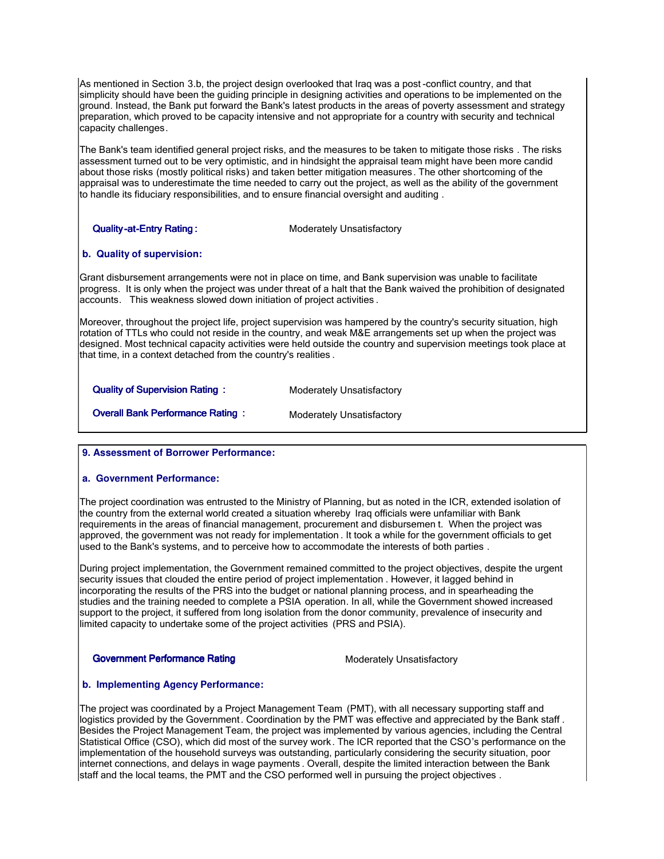As mentioned in Section 3.b, the project design overlooked that Iraq was a post -conflict country, and that simplicity should have been the guiding principle in designing activities and operations to be implemented on the ground. Instead, the Bank put forward the Bank's latest products in the areas of poverty assessment and strategy preparation, which proved to be capacity intensive and not appropriate for a country with security and technical capacity challenges.

The Bank's team identified general project risks, and the measures to be taken to mitigate those risks . The risks assessment turned out to be very optimistic, and in hindsight the appraisal team might have been more candid about those risks (mostly political risks) and taken better mitigation measures. The other shortcoming of the appraisal was to underestimate the time needed to carry out the project, as well as the ability of the government to handle its fiduciary responsibilities, and to ensure financial oversight and auditing .

**Quality-at-Entry Rating : Community Constructs And American** Moderately Unsatisfactory

# **b. Quality of supervision:**

Grant disbursement arrangements were not in place on time, and Bank supervision was unable to facilitate progress. It is only when the project was under threat of a halt that the Bank waived the prohibition of designated accounts. This weakness slowed down initiation of project activities .

Moreover, throughout the project life, project supervision was hampered by the country's security situation, high rotation of TTLs who could not reside in the country, and weak M&E arrangements set up when the project was designed. Most technical capacity activities were held outside the country and supervision meetings took place at that time, in a context detached from the country's realities .

| <b>Quality of Supervision Rating:</b>   | Moderately Unsatisfactory |
|-----------------------------------------|---------------------------|
| <b>Overall Bank Performance Rating:</b> | Moderately Unsatisfactory |

#### **9. Assessment of Borrower Performance:**

#### **a. Government Performance:**

The project coordination was entrusted to the Ministry of Planning, but as noted in the ICR, extended isolation of the country from the external world created a situation whereby Iraq officials were unfamiliar with Bank requirements in the areas of financial management, procurement and disbursemen t. When the project was approved, the government was not ready for implementation . It took a while for the government officials to get used to the Bank's systems, and to perceive how to accommodate the interests of both parties .

During project implementation, the Government remained committed to the project objectives, despite the urgent security issues that clouded the entire period of project implementation . However, it lagged behind in incorporating the results of the PRS into the budget or national planning process, and in spearheading the studies and the training needed to complete a PSIA operation. In all, while the Government showed increased support to the project, it suffered from long isolation from the donor community, prevalence of insecurity and limited capacity to undertake some of the project activities (PRS and PSIA).

## Government Performance Rating Moderately Unsatisfactory

# **b. Implementing Agency Performance:**

The project was coordinated by a Project Management Team (PMT), with all necessary supporting staff and logistics provided by the Government. Coordination by the PMT was effective and appreciated by the Bank staff . Besides the Project Management Team, the project was implemented by various agencies, including the Central Statistical Office (CSO), which did most of the survey work. The ICR reported that the CSO's performance on the implementation of the household surveys was outstanding, particularly considering the security situation, poor internet connections, and delays in wage payments . Overall, despite the limited interaction between the Bank staff and the local teams, the PMT and the CSO performed well in pursuing the project objectives .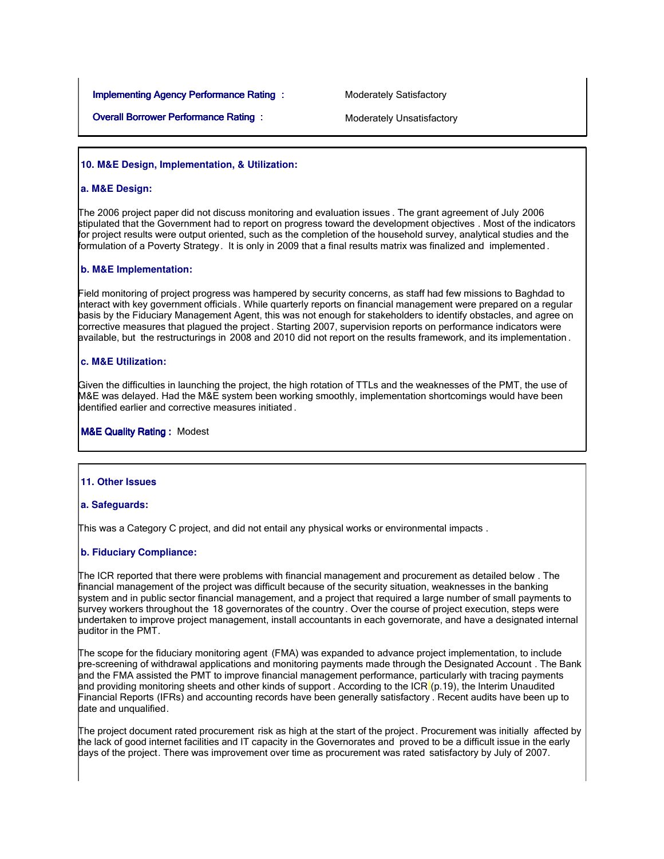**Implementing Agency Performance Rating : Moderately Satisfactory** 

**Overall Borrower Performance Rating : Moderately Unsatisfactory** 

### **10. M&E Design, Implementation, & Utilization:**

#### **a. M&E Design:**

I

I

The 2006 project paper did not discuss monitoring and evaluation issues . The grant agreement of July 2006 stipulated that the Government had to report on progress toward the development objectives . Most of the indicators for project results were output oriented, such as the completion of the household survey, analytical studies and the formulation of a Poverty Strategy. It is only in 2009 that a final results matrix was finalized and implemented .

#### **b. M&E Implementation:**

I Field monitoring of project progress was hampered by security concerns, as staff had few missions to Baghdad to interact with key government officials. While quarterly reports on financial management were prepared on a regular basis by the Fiduciary Management Agent, this was not enough for stakeholders to identify obstacles, and agree on corrective measures that plagued the project . Starting 2007, supervision reports on performance indicators were available, but the restructurings in 2008 and 2010 did not report on the results framework, and its implementation .

#### **c. M&E Utilization:**

I Given the difficulties in launching the project, the high rotation of TTLs and the weaknesses of the PMT, the use of M&E was delayed. Had the M&E system been working smoothly, implementation shortcomings would have been identified earlier and corrective measures initiated .

**M&E Quality Rating : Modest** 

#### **11. Other Issues**

#### **a. Safeguards:**

This was a Category C project, and did not entail any physical works or environmental impacts .

#### **b. Fiduciary Compliance:**

The ICR reported that there were problems with financial management and procurement as detailed below . The financial management of the project was difficult because of the security situation, weaknesses in the banking system and in public sector financial management, and a project that required a large number of small payments to survey workers throughout the 18 governorates of the country. Over the course of project execution, steps were undertaken to improve project management, install accountants in each governorate, and have a designated internal auditor in the PMT.

The scope for the fiduciary monitoring agent (FMA) was expanded to advance project implementation, to include pre-screening of withdrawal applications and monitoring payments made through the Designated Account . The Bank and the FMA assisted the PMT to improve financial management performance, particularly with tracing payments and providing monitoring sheets and other kinds of support . According to the ICR (p.19), the Interim Unaudited Financial Reports (IFRs) and accounting records have been generally satisfactory . Recent audits have been up to date and unqualified.

The project document rated procurement risk as high at the start of the project . Procurement was initially affected by the lack of good internet facilities and IT capacity in the Governorates and proved to be a difficult issue in the early days of the project. There was improvement over time as procurement was rated satisfactory by July of 2007.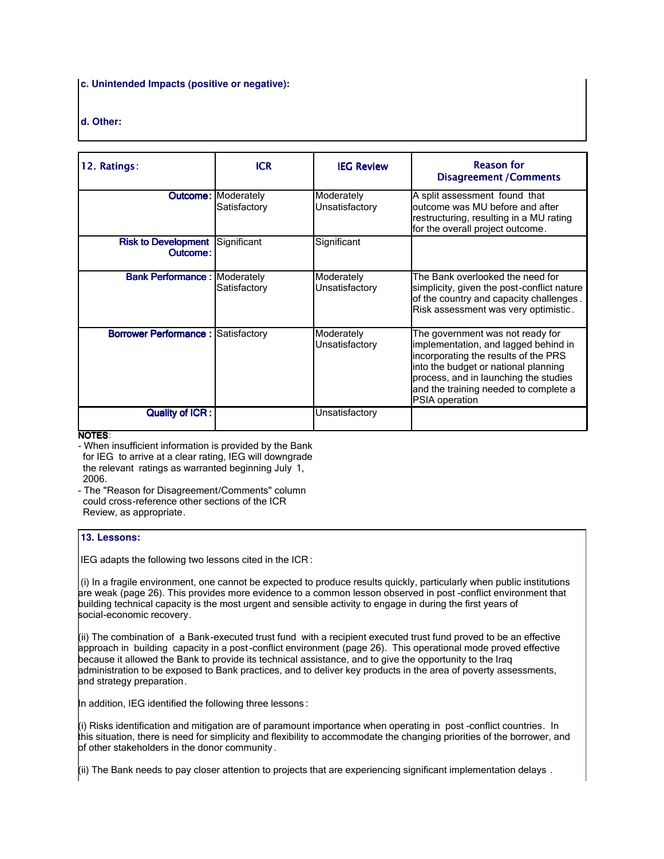## **c. Unintended Impacts (positive or negative):**

# **d. Other:**

| 12. Ratings:                                         | <b>ICR</b>                                 | <b>IEG Review</b>            | <b>Reason for</b><br><b>Disagreement / Comments</b>                                                                                                                                                                                                          |
|------------------------------------------------------|--------------------------------------------|------------------------------|--------------------------------------------------------------------------------------------------------------------------------------------------------------------------------------------------------------------------------------------------------------|
|                                                      | <b>Outcome: Moderately</b><br>Satisfactory | Moderately<br>Unsatisfactory | A split assessment found that<br>outcome was MU before and after<br>restructuring, resulting in a MU rating<br>for the overall project outcome.                                                                                                              |
| <b>Risk to Development   Significant</b><br>Outcome: |                                            | Significant                  |                                                                                                                                                                                                                                                              |
| <b>Bank Performance: Moderately</b>                  | Satisfactory                               | Moderately<br>Unsatisfactory | The Bank overlooked the need for<br>simplicity, given the post-conflict nature<br>of the country and capacity challenges.<br>Risk assessment was very optimistic.                                                                                            |
| <b>Borrower Performance: Satisfactory</b>            |                                            | Moderately<br>Unsatisfactory | The government was not ready for<br>implementation, and lagged behind in<br>incorporating the results of the PRS<br>into the budget or national planning<br>process, and in launching the studies<br>and the training needed to complete a<br>PSIA operation |
| <b>Quality of ICR:</b>                               |                                            | Unsatisfactory               |                                                                                                                                                                                                                                                              |

#### NOTES:

- When insufficient information is provided by the Bank for IEG to arrive at a clear rating, IEG will downgrade the relevant ratings as warranted beginning July 1, 2006.

- The "Reason for Disagreement/Comments" column could cross-reference other sections of the ICR Review, as appropriate.

# **13. Lessons:**

I IEG adapts the following two lessons cited in the ICR :

 (i) In a fragile environment, one cannot be expected to produce results quickly, particularly when public institutions are weak (page 26). This provides more evidence to a common lesson observed in post -conflict environment that building technical capacity is the most urgent and sensible activity to engage in during the first years of social-economic recovery.

(ii) The combination of a Bank-executed trust fund with a recipient executed trust fund proved to be an effective approach in building capacity in a post -conflict environment (page 26). This operational mode proved effective because it allowed the Bank to provide its technical assistance, and to give the opportunity to the Iraq administration to be exposed to Bank practices, and to deliver key products in the area of poverty assessments, and strategy preparation.

In addition, IEG identified the following three lessons :

(i) Risks identification and mitigation are of paramount importance when operating in post -conflict countries. In this situation, there is need for simplicity and flexibility to accommodate the changing priorities of the borrower, and of other stakeholders in the donor community .

(ii) The Bank needs to pay closer attention to projects that are experiencing significant implementation delays .